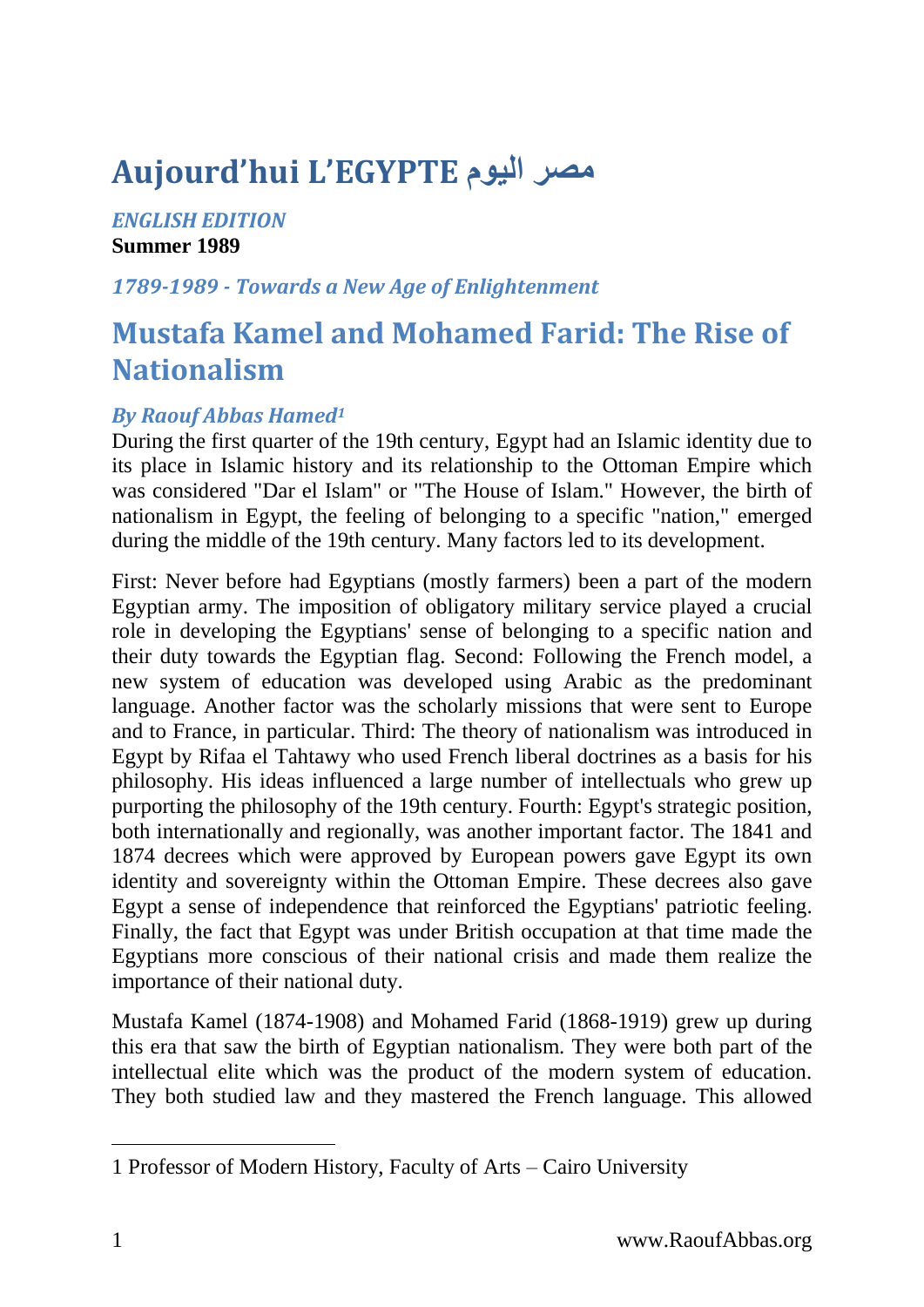# **Aujourd'hui L'EGYPTE اليوم مصر**

#### *ENGLISH EDITION* **Summer 1989**

#### *1789-1989 - Towards a New Age of Enlightenment*

## **Mustafa Kamel and Mohamed Farid: The Rise of Nationalism**

### *By Raouf Abbas Hamed<sup>1</sup>*

During the first quarter of the 19th century, Egypt had an Islamic identity due to its place in Islamic history and its relationship to the Ottoman Empire which was considered "Dar el Islam" or "The House of Islam." However, the birth of nationalism in Egypt, the feeling of belonging to a specific "nation," emerged during the middle of the 19th century. Many factors led to its development.

First: Never before had Egyptians (mostly farmers) been a part of the modern Egyptian army. The imposition of obligatory military service played a crucial role in developing the Egyptians' sense of belonging to a specific nation and their duty towards the Egyptian flag. Second: Following the French model, a new system of education was developed using Arabic as the predominant language. Another factor was the scholarly missions that were sent to Europe and to France, in particular. Third: The theory of nationalism was introduced in Egypt by Rifaa el Tahtawy who used French liberal doctrines as a basis for his philosophy. His ideas influenced a large number of intellectuals who grew up purporting the philosophy of the 19th century. Fourth: Egypt's strategic position, both internationally and regionally, was another important factor. The 1841 and 1874 decrees which were approved by European powers gave Egypt its own identity and sovereignty within the Ottoman Empire. These decrees also gave Egypt a sense of independence that reinforced the Egyptians' patriotic feeling. Finally, the fact that Egypt was under British occupation at that time made the Egyptians more conscious of their national crisis and made them realize the importance of their national duty.

Mustafa Kamel (1874-1908) and Mohamed Farid (1868-1919) grew up during this era that saw the birth of Egyptian nationalism. They were both part of the intellectual elite which was the product of the modern system of education. They both studied law and they mastered the French language. This allowed

<sup>1</sup> Professor of Modern History, Faculty of Arts – Cairo University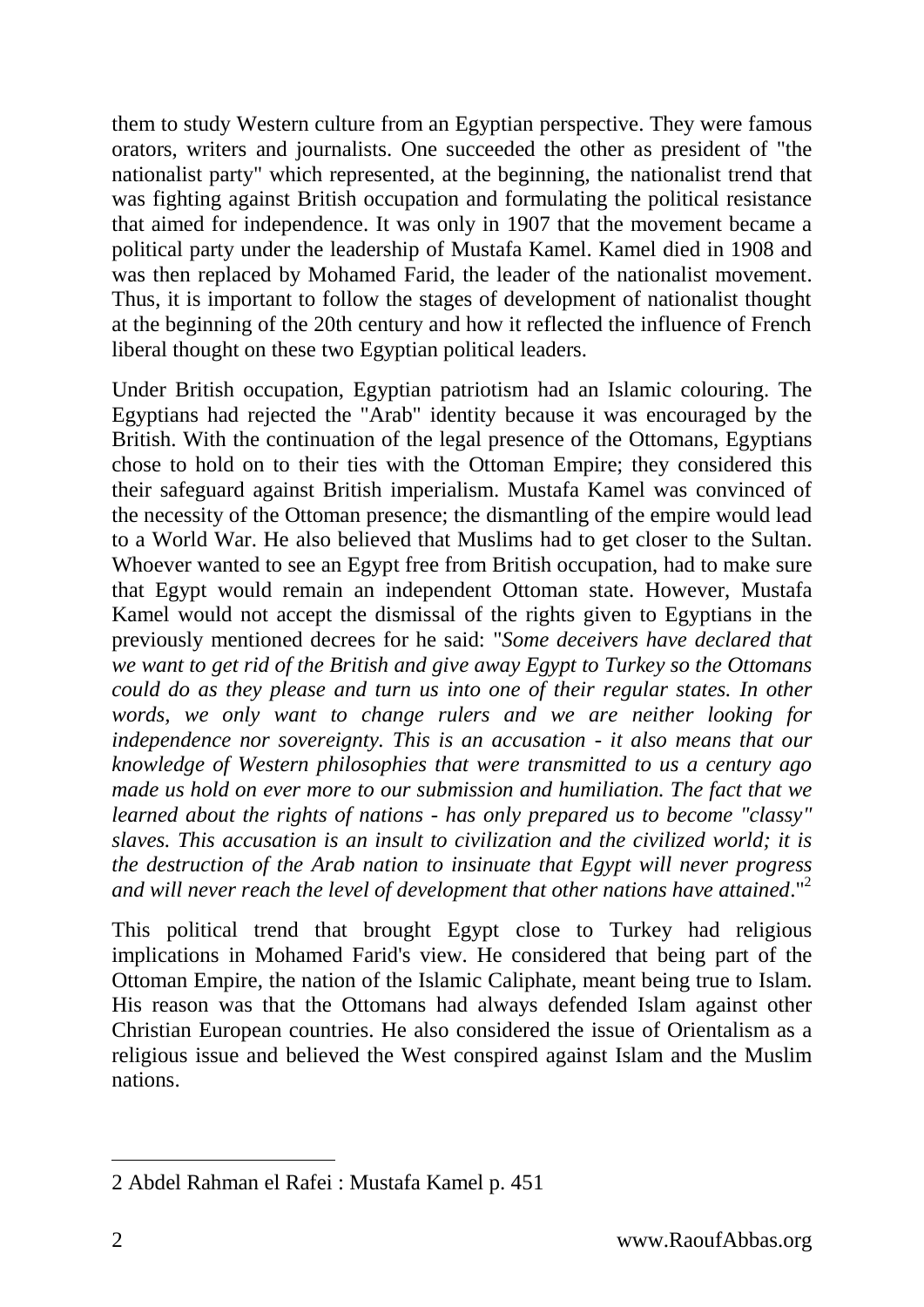them to study Western culture from an Egyptian perspective. They were famous orators, writers and journalists. One succeeded the other as president of "the nationalist party" which represented, at the beginning, the nationalist trend that was fighting against British occupation and formulating the political resistance that aimed for independence. It was only in 1907 that the movement became a political party under the leadership of Mustafa Kamel. Kamel died in 1908 and was then replaced by Mohamed Farid, the leader of the nationalist movement. Thus, it is important to follow the stages of development of nationalist thought at the beginning of the 20th century and how it reflected the influence of French liberal thought on these two Egyptian political leaders.

Under British occupation, Egyptian patriotism had an Islamic colouring. The Egyptians had rejected the "Arab" identity because it was encouraged by the British. With the continuation of the legal presence of the Ottomans, Egyptians chose to hold on to their ties with the Ottoman Empire; they considered this their safeguard against British imperialism. Mustafa Kamel was convinced of the necessity of the Ottoman presence; the dismantling of the empire would lead to a World War. He also believed that Muslims had to get closer to the Sultan. Whoever wanted to see an Egypt free from British occupation, had to make sure that Egypt would remain an independent Ottoman state. However, Mustafa Kamel would not accept the dismissal of the rights given to Egyptians in the previously mentioned decrees for he said: "*Some deceivers have declared that we want to get rid of the British and give away Egypt to Turkey so the Ottomans could do as they please and turn us into one of their regular states. In other words, we only want to change rulers and we are neither looking for independence nor sovereignty. This is an accusation - it also means that our knowledge of Western philosophies that were transmitted to us a century ago made us hold on ever more to our submission and humiliation. The fact that we learned about the rights of nations - has only prepared us to become "classy" slaves. This accusation is an insult to civilization and the civilized world; it is the destruction of the Arab nation to insinuate that Egypt will never progress and will never reach the level of development that other nations have attained*."<sup>2</sup>

This political trend that brought Egypt close to Turkey had religious implications in Mohamed Farid's view. He considered that being part of the Ottoman Empire, the nation of the Islamic Caliphate, meant being true to Islam. His reason was that the Ottomans had always defended Islam against other Christian European countries. He also considered the issue of Orientalism as a religious issue and believed the West conspired against Islam and the Muslim nations.

<sup>2</sup> Abdel Rahman el Rafei : Mustafa Kamel p. 451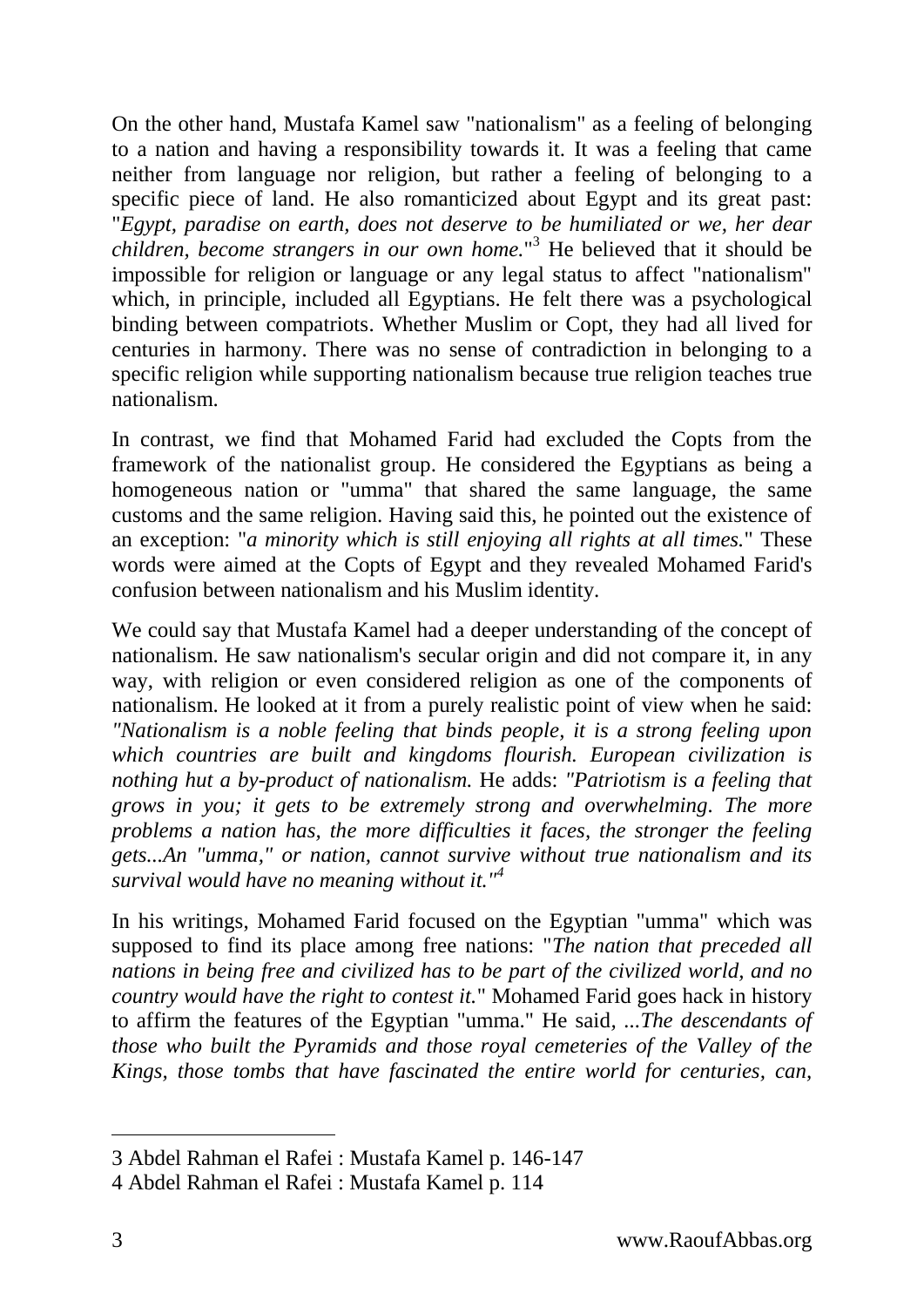On the other hand, Mustafa Kamel saw "nationalism" as a feeling of belonging to a nation and having a responsibility towards it. It was a feeling that came neither from language nor religion, but rather a feeling of belonging to a specific piece of land. He also romanticized about Egypt and its great past: "*Egypt, paradise on earth, does not deserve to be humiliated or we, her dear children, become strangers in our own home.*" <sup>3</sup> He believed that it should be impossible for religion or language or any legal status to affect "nationalism" which, in principle, included all Egyptians. He felt there was a psychological binding between compatriots. Whether Muslim or Copt, they had all lived for centuries in harmony. There was no sense of contradiction in belonging to a specific religion while supporting nationalism because true religion teaches true nationalism.

In contrast, we find that Mohamed Farid had excluded the Copts from the framework of the nationalist group. He considered the Egyptians as being a homogeneous nation or "umma" that shared the same language, the same customs and the same religion. Having said this, he pointed out the existence of an exception: "*a minority which is still enjoying all rights at all times.*" These words were aimed at the Copts of Egypt and they revealed Mohamed Farid's confusion between nationalism and his Muslim identity.

We could say that Mustafa Kamel had a deeper understanding of the concept of nationalism. He saw nationalism's secular origin and did not compare it, in any way, with religion or even considered religion as one of the components of nationalism. He looked at it from a purely realistic point of view when he said: *"Nationalism is a noble feeling that binds people, it is a strong feeling upon which countries are built and kingdoms flourish. European civilization is nothing hut a by-product of nationalism.* He adds: *"Patriotism is a feeling that grows in you; it gets to be extremely strong and overwhelming. The more problems a nation has, the more difficulties it faces, the stronger the feeling gets...An "umma," or nation, cannot survive without true nationalism and its survival would have no meaning without it."<sup>4</sup>*

In his writings, Mohamed Farid focused on the Egyptian "umma" which was supposed to find its place among free nations: "*The nation that preceded all nations in being free and civilized has to be part of the civilized world, and no country would have the right to contest it.*" Mohamed Farid goes hack in history to affirm the features of the Egyptian "umma." He said*, ...The descendants of those who built the Pyramids and those royal cemeteries of the Valley of the Kings, those tombs that have fascinated the entire world for centuries, can,* 

<sup>3</sup> Abdel Rahman el Rafei : Mustafa Kamel p. 146-147

<sup>4</sup> Abdel Rahman el Rafei : Mustafa Kamel p. 114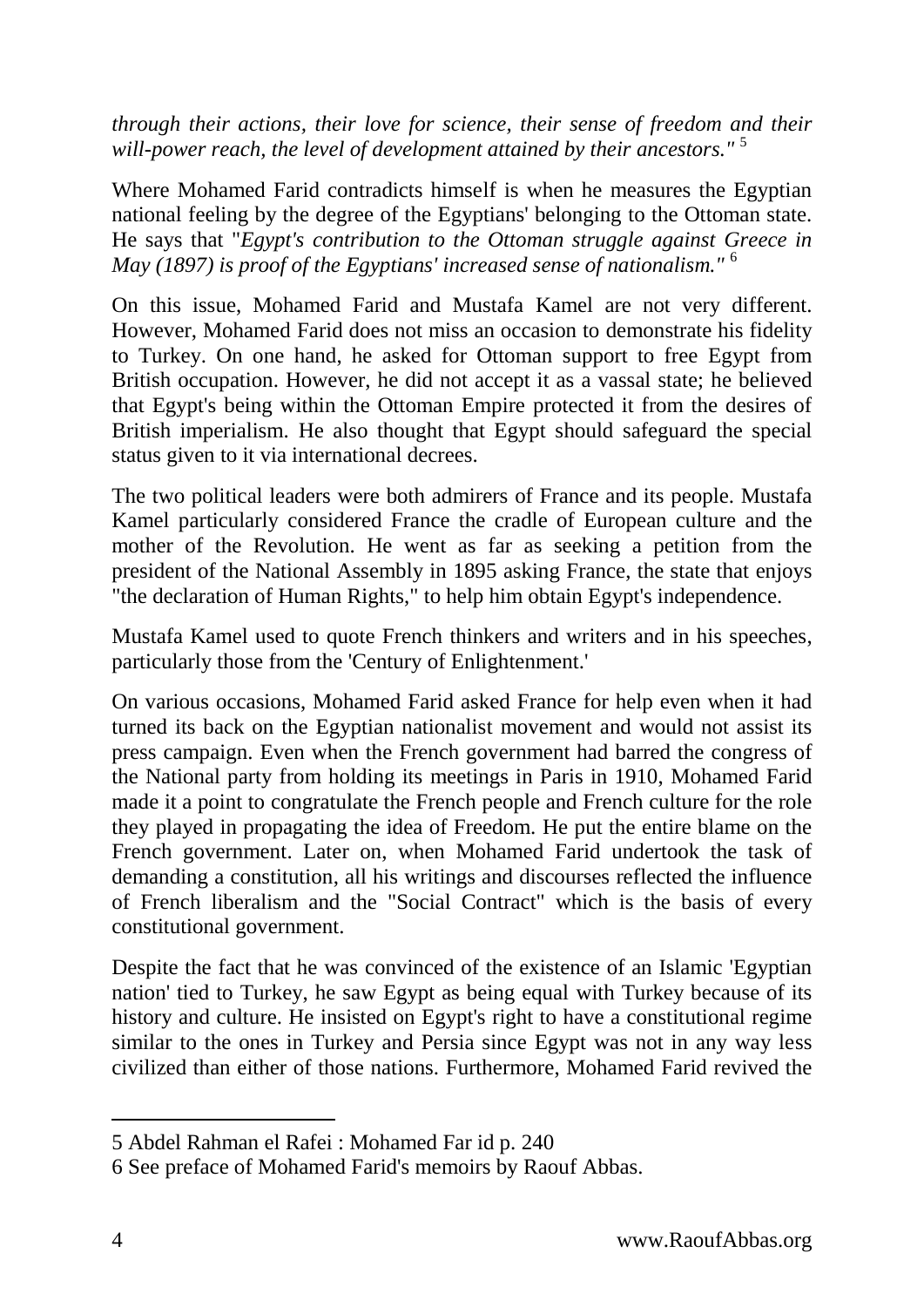*through their actions, their love for science, their sense of freedom and their will-power reach, the level of development attained by their ancestors."* 5

Where Mohamed Farid contradicts himself is when he measures the Egyptian national feeling by the degree of the Egyptians' belonging to the Ottoman state. He says that "*Egypt's contribution to the Ottoman struggle against Greece in May (1897) is proof of the Egyptians' increased sense of nationalism."* <sup>6</sup>

On this issue, Mohamed Farid and Mustafa Kamel are not very different. However, Mohamed Farid does not miss an occasion to demonstrate his fidelity to Turkey. On one hand, he asked for Ottoman support to free Egypt from British occupation. However, he did not accept it as a vassal state; he believed that Egypt's being within the Ottoman Empire protected it from the desires of British imperialism. He also thought that Egypt should safeguard the special status given to it via international decrees.

The two political leaders were both admirers of France and its people. Mustafa Kamel particularly considered France the cradle of European culture and the mother of the Revolution. He went as far as seeking a petition from the president of the National Assembly in 1895 asking France, the state that enjoys "the declaration of Human Rights," to help him obtain Egypt's independence.

Mustafa Kamel used to quote French thinkers and writers and in his speeches, particularly those from the 'Century of Enlightenment.'

On various occasions, Mohamed Farid asked France for help even when it had turned its back on the Egyptian nationalist movement and would not assist its press campaign. Even when the French government had barred the congress of the National party from holding its meetings in Paris in 1910, Mohamed Farid made it a point to congratulate the French people and French culture for the role they played in propagating the idea of Freedom. He put the entire blame on the French government. Later on, when Mohamed Farid undertook the task of demanding a constitution, all his writings and discourses reflected the influence of French liberalism and the "Social Contract" which is the basis of every constitutional government.

Despite the fact that he was convinced of the existence of an Islamic 'Egyptian nation' tied to Turkey, he saw Egypt as being equal with Turkey because of its history and culture. He insisted on Egypt's right to have a constitutional regime similar to the ones in Turkey and Persia since Egypt was not in any way less civilized than either of those nations. Furthermore, Mohamed Farid revived the

<sup>5</sup> Abdel Rahman el Rafei : Mohamed Far id p. 240

<sup>6</sup> See preface of Mohamed Farid's memoirs by Raouf Abbas.